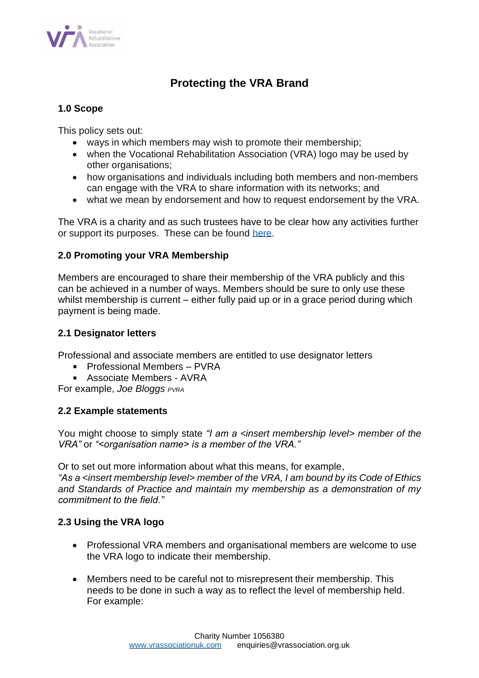

# **Protecting the VRA Brand**

## **1.0 Scope**

This policy sets out:

- ways in which members may wish to promote their membership;
- when the Vocational Rehabilitation Association (VRA) logo may be used by other organisations;
- how organisations and individuals including both members and non-members can engage with the VRA to share information with its networks; and
- what we mean by endorsement and how to request endorsement by the VRA.

The VRA is a charity and as such trustees have to be clear how any activities further or support its purposes. These can be found [here.](https://vrassociationuk.com/about/)

## **2.0 Promoting your VRA Membership**

Members are encouraged to share their membership of the VRA publicly and this can be achieved in a number of ways. Members should be sure to only use these whilst membership is current – either fully paid up or in a grace period during which payment is being made.

## **2.1 Designator letters**

Professional and associate members are entitled to use designator letters

- Professional Members PVRA
- Associate Members AVRA

For example, *Joe Bloggs PVRA*

# **2.2 Example statements**

You might choose to simply state *"I am a <insert membership level> member of the VRA"* or *"<organisation name> is a member of the VRA."*

Or to set out more information about what this means, for example,

*"As a <insert membership level> member of the VRA, I am bound by its Code of Ethics and Standards of Practice and maintain my membership as a demonstration of my commitment to the field."*

# **2.3 Using the VRA logo**

- Professional VRA members and organisational members are welcome to use the VRA logo to indicate their membership.
- Members need to be careful not to misrepresent their membership. This needs to be done in such a way as to reflect the level of membership held. For example: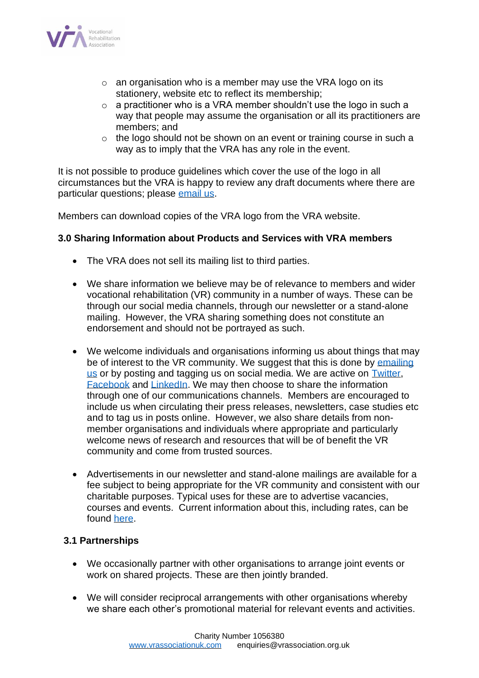

- $\circ$  an organisation who is a member may use the VRA logo on its stationery, website etc to reflect its membership;
- o a practitioner who is a VRA member shouldn't use the logo in such a way that people may assume the organisation or all its practitioners are members; and
- o the logo should not be shown on an event or training course in such a way as to imply that the VRA has any role in the event.

It is not possible to produce guidelines which cover the use of the logo in all circumstances but the VRA is happy to review any draft documents where there are particular questions; please [email us.](mailto:enquiries@vrassociation.org.uk)

Members can download copies of the VRA logo from the VRA website.

## **3.0 Sharing Information about Products and Services with VRA members**

- The VRA does not sell its mailing list to third parties.
- We share information we believe may be of relevance to members and wider vocational rehabilitation (VR) community in a number of ways. These can be through our social media channels, through our newsletter or a stand-alone mailing. However, the VRA sharing something does not constitute an endorsement and should not be portrayed as such.
- We welcome individuals and organisations informing us about things that may be of interest to the VR community. We suggest that this is done by emailing [us](mailto:enquiries@vrassociation.org.uk) or by posting and tagging us on social media. We are active on **Twitter**, [Facebook](https://www.facebook.com/VRAUK/) and [LinkedIn.](https://www.linkedin.com/company/vocational-rehabilitation-association/) We may then choose to share the information through one of our communications channels. Members are encouraged to include us when circulating their press releases, newsletters, case studies etc and to tag us in posts online. However, we also share details from nonmember organisations and individuals where appropriate and particularly welcome news of research and resources that will be of benefit the VR community and come from trusted sources.
- Advertisements in our newsletter and stand-alone mailings are available for a fee subject to being appropriate for the VR community and consistent with our charitable purposes. Typical uses for these are to advertise vacancies, courses and events. Current information about this, including rates, can be found [here.](mailto:%20https://vrassociationuk.com/policies/)

#### **3.1 Partnerships**

- We occasionally partner with other organisations to arrange joint events or work on shared projects. These are then jointly branded.
- We will consider reciprocal arrangements with other organisations whereby we share each other's promotional material for relevant events and activities.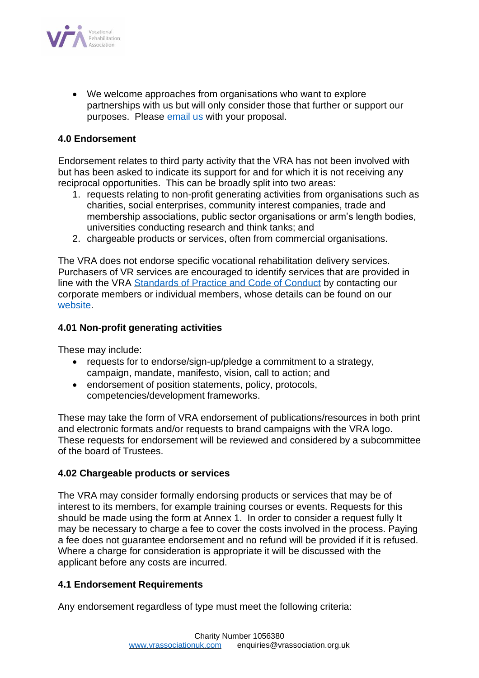

• We welcome approaches from organisations who want to explore partnerships with us but will only consider those that further or support our purposes. Please [email us](mailto:enquiries@vrassociation.org.uk) with your proposal.

## **4.0 Endorsement**

Endorsement relates to third party activity that the VRA has not been involved with but has been asked to indicate its support for and for which it is not receiving any reciprocal opportunities. This can be broadly split into two areas:

- 1. requests relating to non-profit generating activities from organisations such as charities, social enterprises, community interest companies, trade and membership associations, public sector organisations or arm's length bodies, universities conducting research and think tanks; and
- 2. chargeable products or services, often from commercial organisations.

The VRA does not endorse specific vocational rehabilitation delivery services. Purchasers of VR services are encouraged to identify services that are provided in line with the VRA [Standards of Practice and Code of Conduct](https://vrassociationuk.com/resources/vra-standards-practice/) by contacting our corporate members or individual members, whose details can be found on our [website.](https://vrassociationuk.com/)

#### **4.01 Non-profit generating activities**

These may include:

- requests for to endorse/sign-up/pledge a commitment to a strategy, campaign, mandate, manifesto, vision, call to action; and
- endorsement of position statements, policy, protocols, competencies/development frameworks.

These may take the form of VRA endorsement of publications/resources in both print and electronic formats and/or requests to brand campaigns with the VRA logo. These requests for endorsement will be reviewed and considered by a subcommittee of the board of Trustees.

#### **4.02 Chargeable products or services**

The VRA may consider formally endorsing products or services that may be of interest to its members, for example training courses or events. Requests for this should be made using the form at Annex 1. In order to consider a request fully It may be necessary to charge a fee to cover the costs involved in the process. Paying a fee does not guarantee endorsement and no refund will be provided if it is refused. Where a charge for consideration is appropriate it will be discussed with the applicant before any costs are incurred.

#### **4.1 Endorsement Requirements**

Any endorsement regardless of type must meet the following criteria: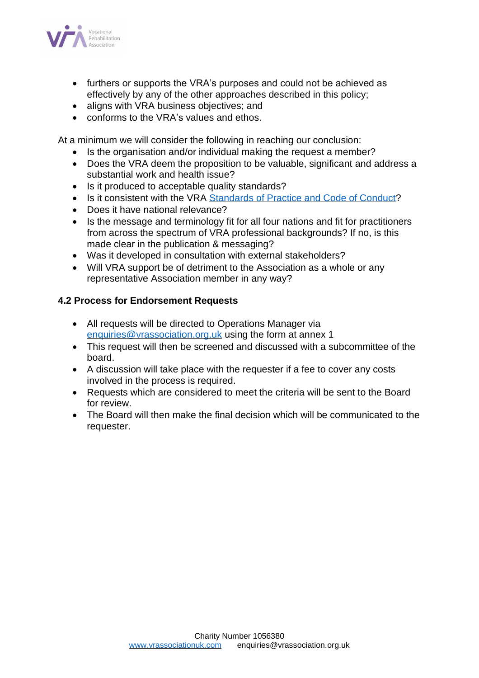

- furthers or supports the VRA's purposes and could not be achieved as effectively by any of the other approaches described in this policy;
- aligns with VRA business objectives; and
- conforms to the VRA's values and ethos.

At a minimum we will consider the following in reaching our conclusion:

- Is the organisation and/or individual making the request a member?
- Does the VRA deem the proposition to be valuable, significant and address a substantial work and health issue?
- Is it produced to acceptable quality standards?
- Is it consistent with the VRA [Standards of Practice and Code of Conduct?](https://vrassociationuk.com/resources/vra-standards-practice/)
- Does it have national relevance?
- Is the message and terminology fit for all four nations and fit for practitioners from across the spectrum of VRA professional backgrounds? If no, is this made clear in the publication & messaging?
- Was it developed in consultation with external stakeholders?
- Will VRA support be of detriment to the Association as a whole or any representative Association member in any way?

# **4.2 Process for Endorsement Requests**

- All requests will be directed to Operations Manager via [enquiries@vrassociation.org.uk](mailto:enquiries@vrassociation.org.uk) using the form at annex 1
- This request will then be screened and discussed with a subcommittee of the board.
- A discussion will take place with the requester if a fee to cover any costs involved in the process is required.
- Requests which are considered to meet the criteria will be sent to the Board for review.
- The Board will then make the final decision which will be communicated to the requester.